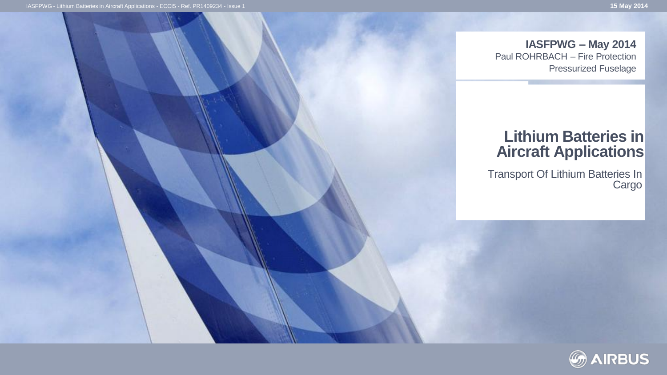**IASFPWG – May 2014** Paul ROHRBACH – Fire Protection

Pressurized Fuselage

#### **Lithium Batteries in Aircraft Applications**

Transport Of Lithium Batteries In **Cargo** 

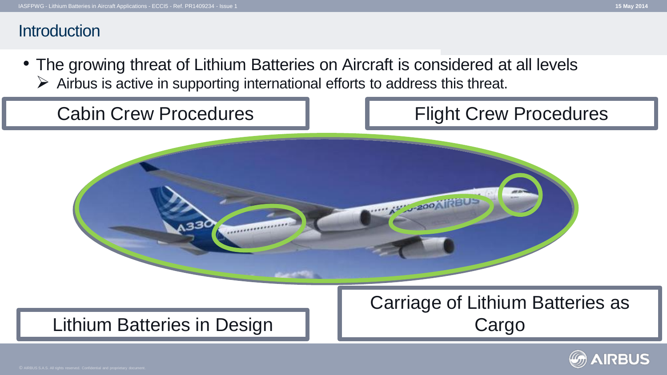#### **Introduction**

• The growing threat of Lithium Batteries on Aircraft is considered at all levels  $\triangleright$  Airbus is active in supporting international efforts to address this threat.



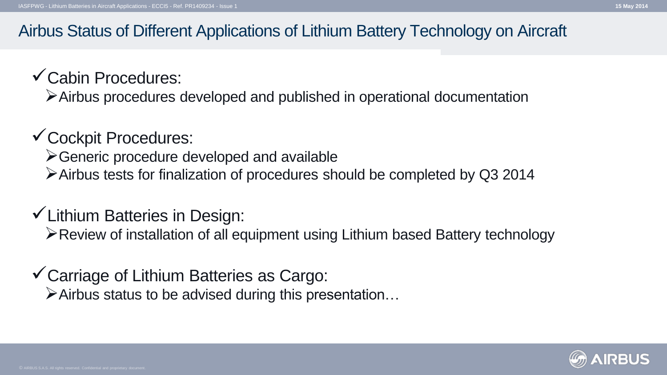#### Airbus Status of Different Applications of Lithium Battery Technology on Aircraft

## Cabin Procedures:

Airbus procedures developed and published in operational documentation

## Cockpit Procedures:

- Generic procedure developed and available
- Airbus tests for finalization of procedures should be completed by Q3 2014

## $\checkmark$  Lithium Batteries in Design:

Review of installation of all equipment using Lithium based Battery technology

#### Carriage of Lithium Batteries as Cargo:  $\triangleright$  Airbus status to be advised during this presentation...

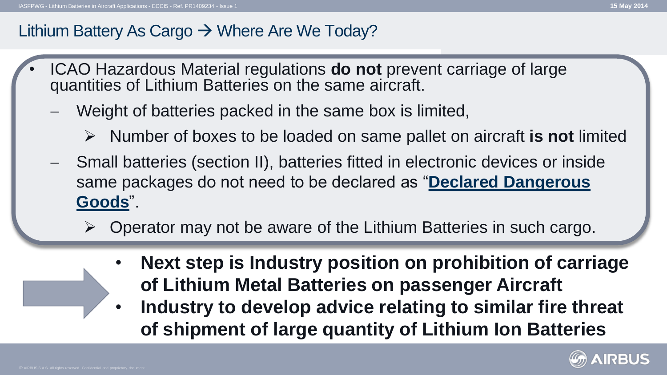## Lithium Battery As Cargo  $\rightarrow$  Where Are We Today?

- ICAO Hazardous Material regulations **do not** prevent carriage of large quantities of Lithium Batteries on the same aircraft.
	- Weight of batteries packed in the same box is limited,
		- Number of boxes to be loaded on same pallet on aircraft **is not** limited
	- Small batteries (section II), batteries fitted in electronic devices or inside same packages do not need to be declared as "**Declared Dangerous Goods**".
		- Operator may not be aware of the Lithium Batteries in such cargo.
			- **Next step is Industry position on prohibition of carriage of Lithium Metal Batteries on passenger Aircraft**
			- **Industry to develop advice relating to similar fire threat of shipment of large quantity of Lithium Ion Batteries**

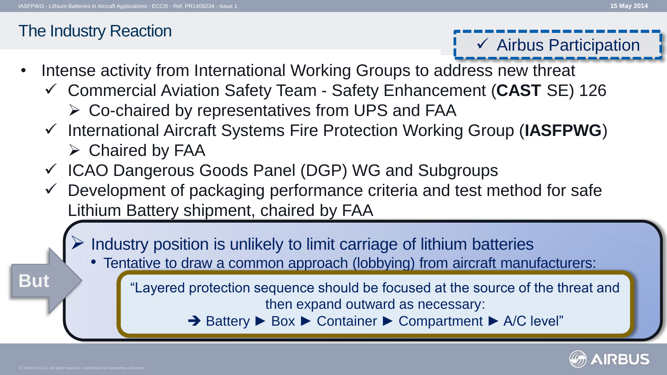## The Industry Reaction

- $\checkmark$  Airbus Participation
- Intense activity from International Working Groups to address new threat
	- Commercial Aviation Safety Team Safety Enhancement (**CAST** SE) 126
		- $\triangleright$  Co-chaired by representatives from UPS and FAA
	- International Aircraft Systems Fire Protection Working Group (**IASFPWG**)  $\triangleright$  Chaired by FAA
	- $\checkmark$  ICAO Dangerous Goods Panel (DGP) WG and Subgroups
	- $\checkmark$  Development of packaging performance criteria and test method for safe Lithium Battery shipment, chaired by FAA
		- Industry position is unlikely to limit carriage of lithium batteries
			- Tentative to draw a common approach (lobbying) from aircraft manufacturers:
				- "Layered protection sequence should be focused at the source of the threat and then expand outward as necessary:
					- Battery ► Box ► Container ► Compartment ► A/C level"



**But**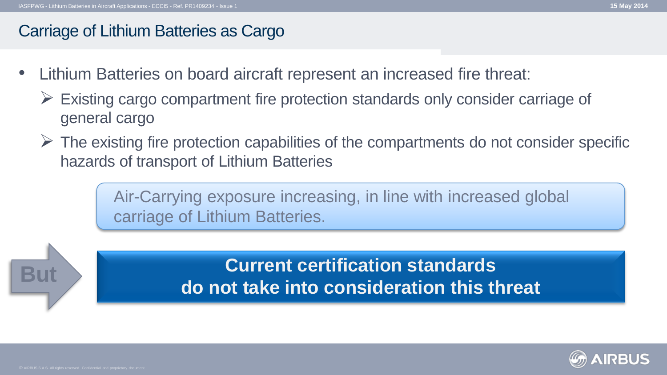## Carriage of Lithium Batteries as Cargo

- Lithium Batteries on board aircraft represent an increased fire threat:
	- $\triangleright$  Existing cargo compartment fire protection standards only consider carriage of general cargo
	- $\triangleright$  The existing fire protection capabilities of the compartments do not consider specific hazards of transport of Lithium Batteries

Air-Carrying exposure increasing, in line with increased global carriage of Lithium Batteries.

> **Current certification standards do not take into consideration this threat**

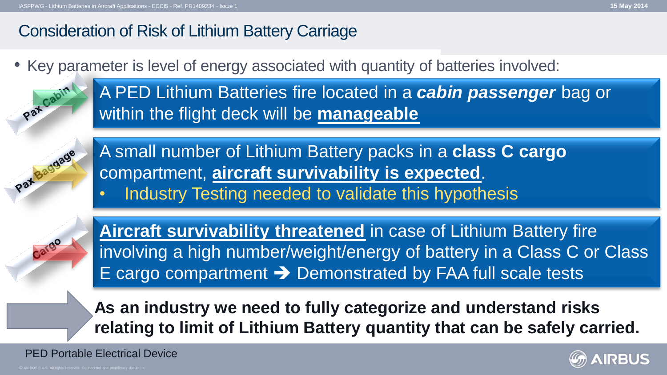## Consideration of Risk of Lithium Battery Carriage

• Key parameter is level of energy associated with quantity of batteries involved:

Pat Cabin

A PED Lithium Batteries fire located in a *cabin passenger* bag or within the flight deck will be **manageable**



A small number of Lithium Battery packs in a **class C cargo** compartment, **aircraft survivability is expected**.

• Industry Testing needed to validate this hypothesis

**Aircraft survivability threatened** in case of Lithium Battery fire involving a high number/weight/energy of battery in a Class C or Class E cargo compartment  $\rightarrow$  Demonstrated by FAA full scale tests

**As an industry we need to fully categorize and understand risks relating to limit of Lithium Battery quantity that can be safely carried.** 

PED Portable Electrical Device

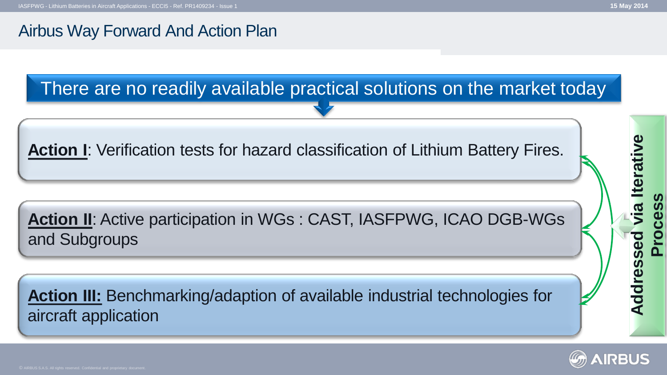## Airbus Way Forward And Action Plan



**Action II**: Active participation in WGs : CAST, IASFPWG, ICAO DGB-WGs and Subgroups

**Action III:** Benchmarking/adaption of available industrial technologies for aircraft application



**Process**

Addressed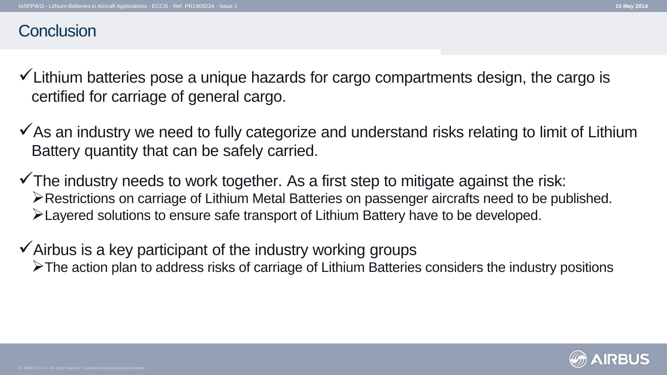- $\checkmark$  Lithium batteries pose a unique hazards for cargo compartments design, the cargo is certified for carriage of general cargo.
- $\checkmark$  As an industry we need to fully categorize and understand risks relating to limit of Lithium Battery quantity that can be safely carried.
- $\checkmark$  The industry needs to work together. As a first step to mitigate against the risk: Restrictions on carriage of Lithium Metal Batteries on passenger aircrafts need to be published. Layered solutions to ensure safe transport of Lithium Battery have to be developed.
- $\checkmark$  Airbus is a key participant of the industry working groups  $\triangleright$ The action plan to address risks of carriage of Lithium Batteries considers the industry positions

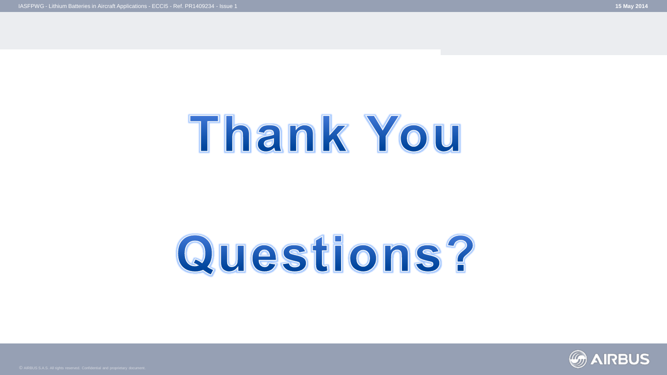## Thank You

# Questions?

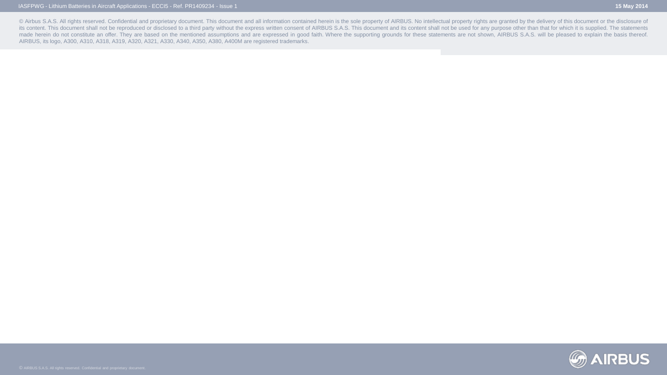© Airbus S.A.S. All rights reserved. Confidential and proprietary document. This document and all information contained herein is the sole property of AIRBUS. No intellectual property rights are granted by the delivery of its content. This document shall not be reproduced or disclosed to a third party without the express written consent of AIRBUS S.A.S. This document and its content shall not be used for any purpose other than that for whic made herein do not constitute an offer. They are based on the mentioned assumptions and are expressed in good faith. Where the supporting grounds for these statements are not shown, AIRBUS S.A.S. will be pleased to explain AIRBUS, its logo, A300, A310, A318, A319, A320, A321, A330, A340, A350, A380, A400M are registered trademarks.